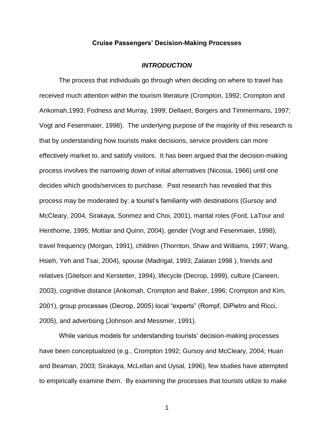# **Cruise Passengers' Decision-Making Processes**

#### *INTRODUCTION*

The process that individuals go through when deciding on where to travel has received much attention within the tourism literature (Crompton, 1992; Crompton and Ankomah,1993; Fodness and Murray, 1999; Dellaert, Borgers and Timmermans, 1997; Vogt and Fesenmaier, 1998). The underlying purpose of the majority of this research is that by understanding how tourists make decisions, service providers can more effectively market to, and satisfy visitors. It has been argued that the decision-making process involves the narrowing down of initial alternatives (Nicosia, 1966) until one decides which goods/services to purchase. Past research has revealed that this process may be moderated by: a tourist's familiarity with destinations (Gursoy and McCleary, 2004, Sirakaya, Sonmez and Choi, 2001), marital roles (Ford, LaTour and Henthorne, 1995; Mottiar and Quinn, 2004), gender (Vogt and Fesenmaier, 1998), travel frequency (Morgan, 1991), children (Thornton, Shaw and Williams, 1997; Wang, Hsieh, Yeh and Tsai, 2004), spouse (Madrigal, 1993; Zalatan 1998 ), friends and relatives (Gitelson and Kerstetter, 1994), lifecycle (Decrop, 1999), culture (Caneen, 2003), cognitive distance (Ankomah, Crompton and Baker, 1996; Crompton and Kim, 2001), group processes (Decrop, 2005) local "experts" (Rompf, DiPietro and Ricci, 2005), and advertising (Johnson and Messmer, 1991).

While various models for understanding tourists' decision-making processes have been conceptualized (e.g., Crompton 1992; Gursoy and McCleary, 2004; Huan and Beaman, 2003; Sirakaya, McLellan and Uysal, 1996), few studies have attempted to empirically examine them. By examining the processes that tourists utilize to make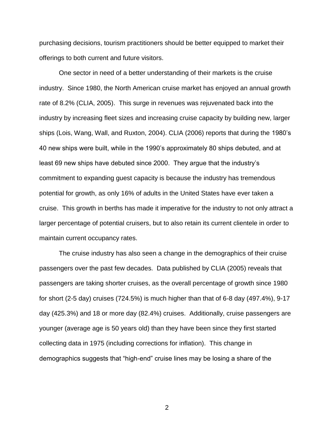purchasing decisions, tourism practitioners should be better equipped to market their offerings to both current and future visitors.

One sector in need of a better understanding of their markets is the cruise industry. Since 1980, the North American cruise market has enjoyed an annual growth rate of 8.2% (CLIA, 2005). This surge in revenues was rejuvenated back into the industry by increasing fleet sizes and increasing cruise capacity by building new, larger ships (Lois, Wang, Wall, and Ruxton, 2004). CLIA (2006) reports that during the 1980's 40 new ships were built, while in the 1990's approximately 80 ships debuted, and at least 69 new ships have debuted since 2000. They argue that the industry's commitment to expanding guest capacity is because the industry has tremendous potential for growth, as only 16% of adults in the United States have ever taken a cruise. This growth in berths has made it imperative for the industry to not only attract a larger percentage of potential cruisers, but to also retain its current clientele in order to maintain current occupancy rates.

The cruise industry has also seen a change in the demographics of their cruise passengers over the past few decades. Data published by CLIA (2005) reveals that passengers are taking shorter cruises, as the overall percentage of growth since 1980 for short (2-5 day) cruises (724.5%) is much higher than that of 6-8 day (497.4%), 9-17 day (425.3%) and 18 or more day (82.4%) cruises. Additionally, cruise passengers are younger (average age is 50 years old) than they have been since they first started collecting data in 1975 (including corrections for inflation). This change in demographics suggests that "high-end" cruise lines may be losing a share of the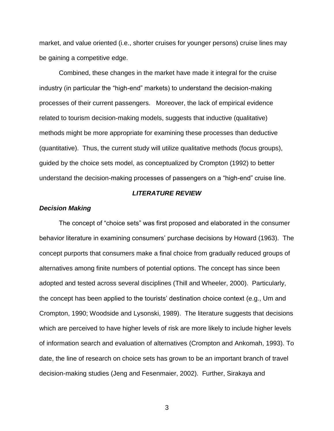market, and value oriented (i.e., shorter cruises for younger persons) cruise lines may be gaining a competitive edge.

Combined, these changes in the market have made it integral for the cruise industry (in particular the "high-end" markets) to understand the decision-making processes of their current passengers. Moreover, the lack of empirical evidence related to tourism decision-making models, suggests that inductive (qualitative) methods might be more appropriate for examining these processes than deductive (quantitative). Thus, the current study will utilize qualitative methods (focus groups), guided by the choice sets model, as conceptualized by Crompton (1992) to better understand the decision-making processes of passengers on a "high-end" cruise line.

# *LITERATURE REVIEW*

## *Decision Making*

The concept of "choice sets" was first proposed and elaborated in the consumer behavior literature in examining consumers' purchase decisions by Howard (1963). The concept purports that consumers make a final choice from gradually reduced groups of alternatives among finite numbers of potential options. The concept has since been adopted and tested across several disciplines (Thill and Wheeler, 2000). Particularly, the concept has been applied to the tourists' destination choice context (e.g., Um and Crompton, 1990; Woodside and Lysonski, 1989). The literature suggests that decisions which are perceived to have higher levels of risk are more likely to include higher levels of information search and evaluation of alternatives (Crompton and Ankomah, 1993). To date, the line of research on choice sets has grown to be an important branch of travel decision-making studies (Jeng and Fesenmaier, 2002). Further, Sirakaya and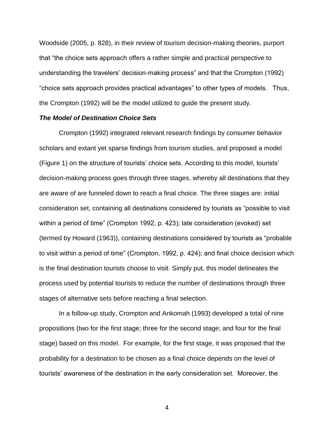Woodside (2005, p. 828), in their review of tourism decision-making theories, purport that "the choice sets approach offers a rather simple and practical perspective to understanding the travelers' decision-making process" and that the Crompton (1992) "choice sets approach provides practical advantages" to other types of models. Thus, the Crompton (1992) will be the model utilized to guide the present study.

## *The Model of Destination Choice Sets*

Crompton (1992) integrated relevant research findings by consumer behavior scholars and extant yet sparse findings from tourism studies, and proposed a model (Figure 1) on the structure of tourists' choice sets. According to this model, tourists' decision-making process goes through three stages, whereby all destinations that they are aware of are funneled down to reach a final choice. The three stages are: initial consideration set, containing all destinations considered by tourists as "possible to visit within a period of time" (Crompton 1992, p. 423); late consideration (evoked) set (termed by Howard (1963)), containing destinations considered by tourists as "probable to visit within a period of time" (Crompton, 1992, p. 424); and final choice decision which is the final destination tourists choose to visit. Simply put, this model delineates the process used by potential tourists to reduce the number of destinations through three stages of alternative sets before reaching a final selection.

In a follow-up study, Crompton and Ankomah (1993) developed a total of nine propositions (two for the first stage; three for the second stage; and four for the final stage) based on this model. For example, for the first stage, it was proposed that the probability for a destination to be chosen as a final choice depends on the level of tourists' awareness of the destination in the early consideration set. Moreover, the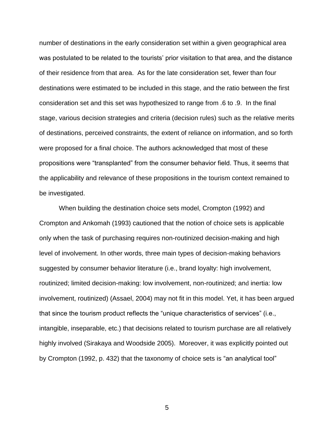number of destinations in the early consideration set within a given geographical area was postulated to be related to the tourists' prior visitation to that area, and the distance of their residence from that area. As for the late consideration set, fewer than four destinations were estimated to be included in this stage, and the ratio between the first consideration set and this set was hypothesized to range from .6 to .9. In the final stage, various decision strategies and criteria (decision rules) such as the relative merits of destinations, perceived constraints, the extent of reliance on information, and so forth were proposed for a final choice. The authors acknowledged that most of these propositions were "transplanted" from the consumer behavior field. Thus, it seems that the applicability and relevance of these propositions in the tourism context remained to be investigated.

When building the destination choice sets model, Crompton (1992) and Crompton and Ankomah (1993) cautioned that the notion of choice sets is applicable only when the task of purchasing requires non-routinized decision-making and high level of involvement. In other words, three main types of decision-making behaviors suggested by consumer behavior literature (i.e., brand loyalty: high involvement, routinized; limited decision-making: low involvement, non-routinized; and inertia: low involvement, routinized) (Assael, 2004) may not fit in this model. Yet, it has been argued that since the tourism product reflects the "unique characteristics of services" (i.e., intangible, inseparable, etc.) that decisions related to tourism purchase are all relatively highly involved (Sirakaya and Woodside 2005). Moreover, it was explicitly pointed out by Crompton (1992, p. 432) that the taxonomy of choice sets is "an analytical tool"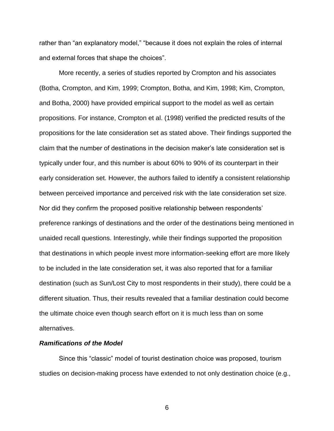rather than "an explanatory model," "because it does not explain the roles of internal and external forces that shape the choices".

More recently, a series of studies reported by Crompton and his associates (Botha, Crompton, and Kim, 1999; Crompton, Botha, and Kim, 1998; Kim, Crompton, and Botha, 2000) have provided empirical support to the model as well as certain propositions. For instance, Crompton et al. (1998) verified the predicted results of the propositions for the late consideration set as stated above. Their findings supported the claim that the number of destinations in the decision maker's late consideration set is typically under four, and this number is about 60% to 90% of its counterpart in their early consideration set. However, the authors failed to identify a consistent relationship between perceived importance and perceived risk with the late consideration set size. Nor did they confirm the proposed positive relationship between respondents' preference rankings of destinations and the order of the destinations being mentioned in unaided recall questions. Interestingly, while their findings supported the proposition that destinations in which people invest more information-seeking effort are more likely to be included in the late consideration set, it was also reported that for a familiar destination (such as Sun/Lost City to most respondents in their study), there could be a different situation. Thus, their results revealed that a familiar destination could become the ultimate choice even though search effort on it is much less than on some alternatives.

## *Ramifications of the Model*

Since this "classic" model of tourist destination choice was proposed, tourism studies on decision-making process have extended to not only destination choice (e.g.,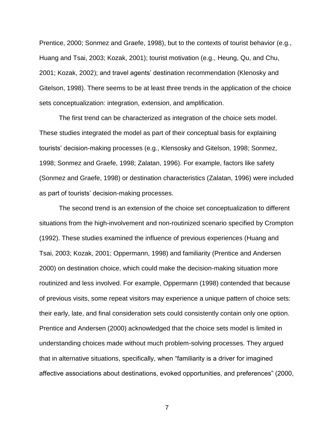Prentice, 2000; Sonmez and Graefe, 1998), but to the contexts of tourist behavior (e.g., Huang and Tsai, 2003; Kozak, 2001); tourist motivation (e.g., Heung, Qu, and Chu, 2001; Kozak, 2002); and travel agents' destination recommendation (Klenosky and Gitelson, 1998). There seems to be at least three trends in the application of the choice sets conceptualization: integration, extension, and amplification.

The first trend can be characterized as integration of the choice sets model. These studies integrated the model as part of their conceptual basis for explaining tourists' decision-making processes (e.g., Klensosky and Gitelson, 1998; Sonmez, 1998; Sonmez and Graefe, 1998; Zalatan, 1996). For example, factors like safety (Sonmez and Graefe, 1998) or destination characteristics (Zalatan, 1996) were included as part of tourists' decision-making processes.

The second trend is an extension of the choice set conceptualization to different situations from the high-involvement and non-routinized scenario specified by Crompton (1992). These studies examined the influence of previous experiences (Huang and Tsai, 2003; Kozak, 2001; Oppermann, 1998) and familiarity (Prentice and Andersen 2000) on destination choice, which could make the decision-making situation more routinized and less involved. For example, Oppermann (1998) contended that because of previous visits, some repeat visitors may experience a unique pattern of choice sets: their early, late, and final consideration sets could consistently contain only one option. Prentice and Andersen (2000) acknowledged that the choice sets model is limited in understanding choices made without much problem-solving processes. They argued that in alternative situations, specifically, when "familiarity is a driver for imagined affective associations about destinations, evoked opportunities, and preferences" (2000,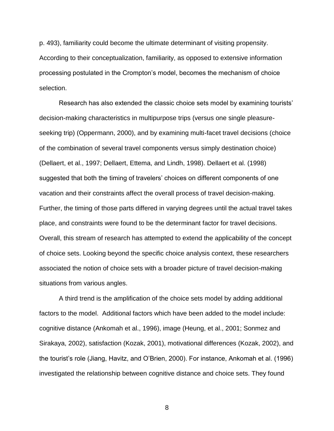p. 493), familiarity could become the ultimate determinant of visiting propensity. According to their conceptualization, familiarity, as opposed to extensive information processing postulated in the Crompton's model, becomes the mechanism of choice selection.

Research has also extended the classic choice sets model by examining tourists' decision-making characteristics in multipurpose trips (versus one single pleasureseeking trip) (Oppermann, 2000), and by examining multi-facet travel decisions (choice of the combination of several travel components versus simply destination choice) (Dellaert, et al., 1997; Dellaert, Ettema, and Lindh, 1998). Dellaert et al. (1998) suggested that both the timing of travelers' choices on different components of one vacation and their constraints affect the overall process of travel decision-making. Further, the timing of those parts differed in varying degrees until the actual travel takes place, and constraints were found to be the determinant factor for travel decisions. Overall, this stream of research has attempted to extend the applicability of the concept of choice sets. Looking beyond the specific choice analysis context, these researchers associated the notion of choice sets with a broader picture of travel decision-making situations from various angles.

A third trend is the amplification of the choice sets model by adding additional factors to the model. Additional factors which have been added to the model include: cognitive distance (Ankomah et al., 1996), image (Heung, et al., 2001; Sonmez and Sirakaya, 2002), satisfaction (Kozak, 2001), motivational differences (Kozak, 2002), and the tourist's role (Jiang, Havitz, and O'Brien, 2000). For instance, Ankomah et al. (1996) investigated the relationship between cognitive distance and choice sets. They found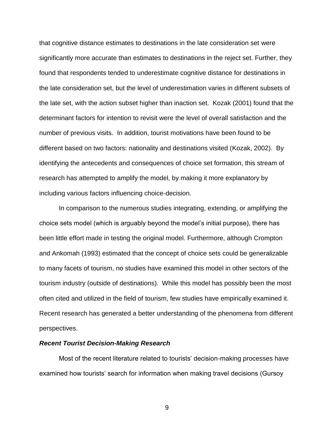that cognitive distance estimates to destinations in the late consideration set were significantly more accurate than estimates to destinations in the reject set. Further, they found that respondents tended to underestimate cognitive distance for destinations in the late consideration set, but the level of underestimation varies in different subsets of the late set, with the action subset higher than inaction set. Kozak (2001) found that the determinant factors for intention to revisit were the level of overall satisfaction and the number of previous visits. In addition, tourist motivations have been found to be different based on two factors: nationality and destinations visited (Kozak, 2002). By identifying the antecedents and consequences of choice set formation, this stream of research has attempted to amplify the model, by making it more explanatory by including various factors influencing choice-decision.

In comparison to the numerous studies integrating, extending, or amplifying the choice sets model (which is arguably beyond the model's initial purpose), there has been little effort made in testing the original model. Furthermore, although Crompton and Ankomah (1993) estimated that the concept of choice sets could be generalizable to many facets of tourism, no studies have examined this model in other sectors of the tourism industry (outside of destinations). While this model has possibly been the most often cited and utilized in the field of tourism, few studies have empirically examined it. Recent research has generated a better understanding of the phenomena from different perspectives.

## *Recent Tourist Decision-Making Research*

Most of the recent literature related to tourists' decision-making processes have examined how tourists' search for information when making travel decisions (Gursoy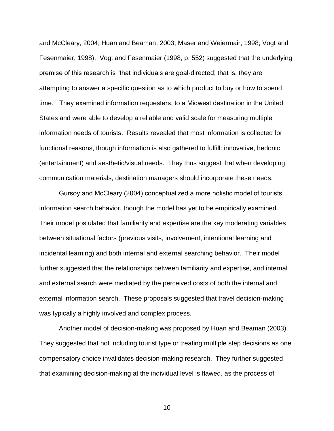and McCleary, 2004; Huan and Beaman, 2003; Maser and Weiermair, 1998; Vogt and Fesenmaier, 1998). Vogt and Fesenmaier (1998, p. 552) suggested that the underlying premise of this research is "that individuals are goal-directed; that is, they are attempting to answer a specific question as to which product to buy or how to spend time." They examined information requesters, to a Midwest destination in the United States and were able to develop a reliable and valid scale for measuring multiple information needs of tourists. Results revealed that most information is collected for functional reasons, though information is also gathered to fulfill: innovative, hedonic (entertainment) and aesthetic/visual needs. They thus suggest that when developing communication materials, destination managers should incorporate these needs.

Gursoy and McCleary (2004) conceptualized a more holistic model of tourists' information search behavior, though the model has yet to be empirically examined. Their model postulated that familiarity and expertise are the key moderating variables between situational factors (previous visits, involvement, intentional learning and incidental learning) and both internal and external searching behavior. Their model further suggested that the relationships between familiarity and expertise, and internal and external search were mediated by the perceived costs of both the internal and external information search. These proposals suggested that travel decision-making was typically a highly involved and complex process.

Another model of decision-making was proposed by Huan and Beaman (2003). They suggested that not including tourist type or treating multiple step decisions as one compensatory choice invalidates decision-making research. They further suggested that examining decision-making at the individual level is flawed, as the process of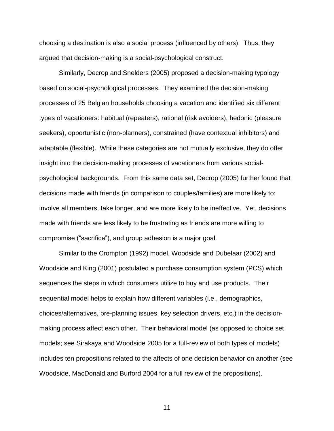choosing a destination is also a social process (influenced by others). Thus, they argued that decision-making is a social-psychological construct.

Similarly, Decrop and Snelders (2005) proposed a decision-making typology based on social-psychological processes. They examined the decision-making processes of 25 Belgian households choosing a vacation and identified six different types of vacationers: habitual (repeaters), rational (risk avoiders), hedonic (pleasure seekers), opportunistic (non-planners), constrained (have contextual inhibitors) and adaptable (flexible). While these categories are not mutually exclusive, they do offer insight into the decision-making processes of vacationers from various socialpsychological backgrounds. From this same data set, Decrop (2005) further found that decisions made with friends (in comparison to couples/families) are more likely to: involve all members, take longer, and are more likely to be ineffective. Yet, decisions made with friends are less likely to be frustrating as friends are more willing to compromise ("sacrifice"), and group adhesion is a major goal.

Similar to the Crompton (1992) model, Woodside and Dubelaar (2002) and Woodside and King (2001) postulated a purchase consumption system (PCS) which sequences the steps in which consumers utilize to buy and use products. Their sequential model helps to explain how different variables (i.e., demographics, choices/alternatives, pre-planning issues, key selection drivers, etc.) in the decisionmaking process affect each other. Their behavioral model (as opposed to choice set models; see Sirakaya and Woodside 2005 for a full-review of both types of models) includes ten propositions related to the affects of one decision behavior on another (see Woodside, MacDonald and Burford 2004 for a full review of the propositions).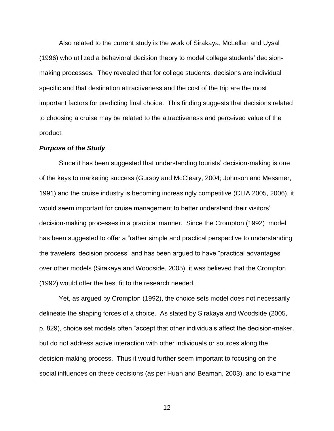Also related to the current study is the work of Sirakaya, McLellan and Uysal (1996) who utilized a behavioral decision theory to model college students' decisionmaking processes. They revealed that for college students, decisions are individual specific and that destination attractiveness and the cost of the trip are the most important factors for predicting final choice. This finding suggests that decisions related to choosing a cruise may be related to the attractiveness and perceived value of the product.

## *Purpose of the Study*

Since it has been suggested that understanding tourists' decision-making is one of the keys to marketing success (Gursoy and McCleary, 2004; Johnson and Messmer, 1991) and the cruise industry is becoming increasingly competitive (CLIA 2005, 2006), it would seem important for cruise management to better understand their visitors' decision-making processes in a practical manner. Since the Crompton (1992) model has been suggested to offer a "rather simple and practical perspective to understanding the travelers' decision process" and has been argued to have "practical advantages" over other models (Sirakaya and Woodside, 2005), it was believed that the Crompton (1992) would offer the best fit to the research needed.

Yet, as argued by Crompton (1992), the choice sets model does not necessarily delineate the shaping forces of a choice. As stated by Sirakaya and Woodside (2005, p. 829), choice set models often "accept that other individuals affect the decision-maker, but do not address active interaction with other individuals or sources along the decision-making process. Thus it would further seem important to focusing on the social influences on these decisions (as per Huan and Beaman, 2003), and to examine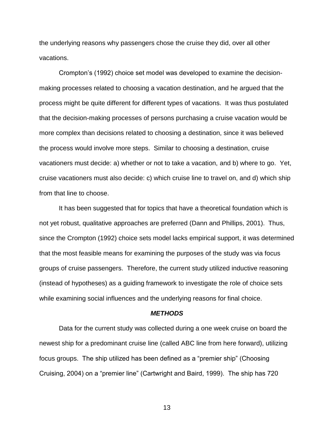the underlying reasons why passengers chose the cruise they did, over all other vacations.

Crompton's (1992) choice set model was developed to examine the decisionmaking processes related to choosing a vacation destination, and he argued that the process might be quite different for different types of vacations. It was thus postulated that the decision-making processes of persons purchasing a cruise vacation would be more complex than decisions related to choosing a destination, since it was believed the process would involve more steps. Similar to choosing a destination, cruise vacationers must decide: a) whether or not to take a vacation, and b) where to go. Yet, cruise vacationers must also decide: c) which cruise line to travel on, and d) which ship from that line to choose.

It has been suggested that for topics that have a theoretical foundation which is not yet robust, qualitative approaches are preferred (Dann and Phillips, 2001). Thus, since the Crompton (1992) choice sets model lacks empirical support, it was determined that the most feasible means for examining the purposes of the study was via focus groups of cruise passengers. Therefore, the current study utilized inductive reasoning (instead of hypotheses) as a guiding framework to investigate the role of choice sets while examining social influences and the underlying reasons for final choice.

#### *METHODS*

Data for the current study was collected during a one week cruise on board the newest ship for a predominant cruise line (called ABC line from here forward), utilizing focus groups. The ship utilized has been defined as a "premier ship" (Choosing Cruising, 2004) on a "premier line" (Cartwright and Baird, 1999). The ship has 720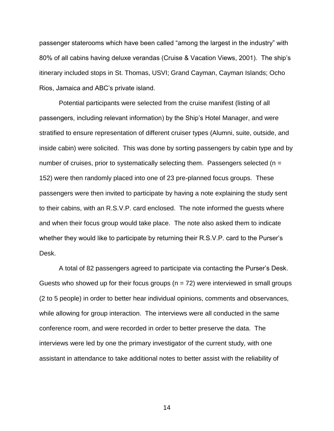passenger staterooms which have been called "among the largest in the industry" with 80% of all cabins having deluxe verandas (Cruise & Vacation Views, 2001). The ship's itinerary included stops in St. Thomas, USVI; Grand Cayman, Cayman Islands; Ocho Rios, Jamaica and ABC's private island.

Potential participants were selected from the cruise manifest (listing of all passengers, including relevant information) by the Ship's Hotel Manager, and were stratified to ensure representation of different cruiser types (Alumni, suite, outside, and inside cabin) were solicited. This was done by sorting passengers by cabin type and by number of cruises, prior to systematically selecting them. Passengers selected ( $n =$ 152) were then randomly placed into one of 23 pre-planned focus groups. These passengers were then invited to participate by having a note explaining the study sent to their cabins, with an R.S.V.P. card enclosed. The note informed the guests where and when their focus group would take place. The note also asked them to indicate whether they would like to participate by returning their R.S.V.P. card to the Purser's Desk.

A total of 82 passengers agreed to participate via contacting the Purser's Desk. Guests who showed up for their focus groups ( $n = 72$ ) were interviewed in small groups (2 to 5 people) in order to better hear individual opinions, comments and observances, while allowing for group interaction. The interviews were all conducted in the same conference room, and were recorded in order to better preserve the data. The interviews were led by one the primary investigator of the current study, with one assistant in attendance to take additional notes to better assist with the reliability of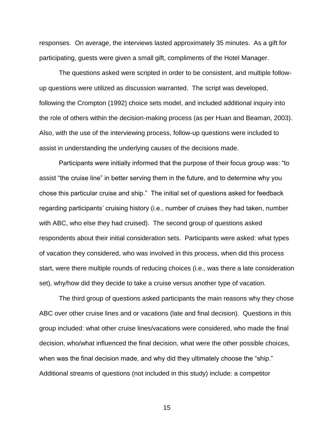responses. On average, the interviews lasted approximately 35 minutes. As a gift for participating, guests were given a small gift, compliments of the Hotel Manager.

The questions asked were scripted in order to be consistent, and multiple followup questions were utilized as discussion warranted. The script was developed, following the Crompton (1992) choice sets model, and included additional inquiry into the role of others within the decision-making process (as per Huan and Beaman, 2003). Also, with the use of the interviewing process, follow-up questions were included to assist in understanding the underlying causes of the decisions made.

Participants were initially informed that the purpose of their focus group was: "to assist "the cruise line" in better serving them in the future, and to determine why you chose this particular cruise and ship." The initial set of questions asked for feedback regarding participants' cruising history (i.e., number of cruises they had taken, number with ABC, who else they had cruised). The second group of questions asked respondents about their initial consideration sets. Participants were asked: what types of vacation they considered, who was involved in this process, when did this process start, were there multiple rounds of reducing choices (i.e., was there a late consideration set), why/how did they decide to take a cruise versus another type of vacation.

The third group of questions asked participants the main reasons why they chose ABC over other cruise lines and or vacations (late and final decision). Questions in this group included: what other cruise lines/vacations were considered, who made the final decision, who/what influenced the final decision, what were the other possible choices, when was the final decision made, and why did they ultimately choose the "ship." Additional streams of questions (not included in this study) include: a competitor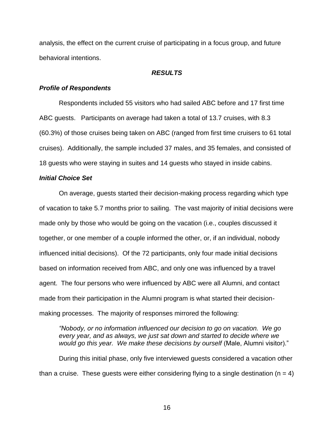analysis, the effect on the current cruise of participating in a focus group, and future behavioral intentions.

## *RESULTS*

## *Profile of Respondents*

Respondents included 55 visitors who had sailed ABC before and 17 first time ABC guests. Participants on average had taken a total of 13.7 cruises, with 8.3 (60.3%) of those cruises being taken on ABC (ranged from first time cruisers to 61 total cruises). Additionally, the sample included 37 males, and 35 females, and consisted of 18 guests who were staying in suites and 14 guests who stayed in inside cabins.

## *Initial Choice Set*

On average, guests started their decision-making process regarding which type of vacation to take 5.7 months prior to sailing. The vast majority of initial decisions were made only by those who would be going on the vacation (i.e., couples discussed it together, or one member of a couple informed the other, or, if an individual, nobody influenced initial decisions). Of the 72 participants, only four made initial decisions based on information received from ABC, and only one was influenced by a travel agent. The four persons who were influenced by ABC were all Alumni, and contact made from their participation in the Alumni program is what started their decisionmaking processes. The majority of responses mirrored the following:

*"Nobody, or no information influenced our decision to go on vacation. We go every year, and as always, we just sat down and started to decide where we*  would go this year. We make these decisions by ourself (Male, Alumni visitor)."

During this initial phase, only five interviewed guests considered a vacation other than a cruise. These guests were either considering flying to a single destination ( $n = 4$ )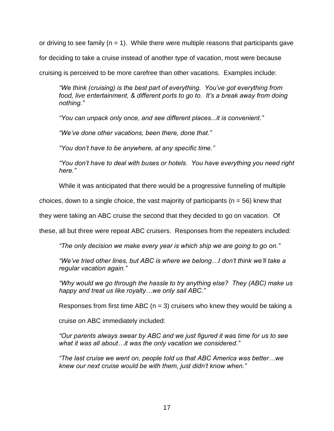or driving to see family ( $n = 1$ ). While there were multiple reasons that participants gave for deciding to take a cruise instead of another type of vacation, most were because cruising is perceived to be more carefree than other vacations. Examples include:

*"We think (cruising) is the best part of everything. You"ve got everything from food, live entertainment, & different ports to go to. It"s a break away from doing nothing."*

*"You can unpack only once, and see different places...it is convenient."*

*"We"ve done other vacations, been there, done that."*

*"You don"t have to be anywhere, at any specific time."*

*"You don"t have to deal with buses or hotels. You have everything you need right here."*

While it was anticipated that there would be a progressive funneling of multiple

choices, down to a single choice, the vast majority of participants ( $n = 56$ ) knew that

they were taking an ABC cruise the second that they decided to go on vacation. Of

these, all but three were repeat ABC cruisers. Responses from the repeaters included:

*"The only decision we make every year is which ship we are going to go on."*

*"We"ve tried other lines, but ABC is where we belong…I don"t think we"ll take a regular vacation again."*

*"Why would we go through the hassle to try anything else? They (ABC) make us happy and treat us like royalty…we only sail ABC."*

Responses from first time ABC ( $n = 3$ ) cruisers who knew they would be taking a

cruise on ABC immediately included:

*"Our parents always swear by ABC and we just figured it was time for us to see what it was all about…it was the only vacation we considered."*

*"The last cruise we went on, people told us that ABC America was better…we knew our next cruise would be with them, just didn"t know when."*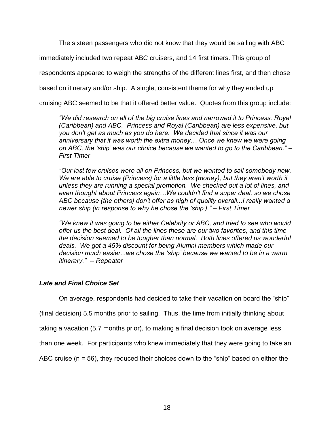The sixteen passengers who did not know that they would be sailing with ABC

immediately included two repeat ABC cruisers, and 14 first timers. This group of

respondents appeared to weigh the strengths of the different lines first, and then chose

based on itinerary and/or ship. A single, consistent theme for why they ended up

cruising ABC seemed to be that it offered better value. Quotes from this group include:

*"We did research on all of the big cruise lines and narrowed it to Princess, Royal (Caribbean) and ABC. Princess and Royal (Caribbean) are less expensive, but you don"t get as much as you do here. We decided that since it was our anniversary that it was worth the extra money… Once we knew we were going on ABC, the "ship" was our choice because we wanted to go to the Caribbean." – First Timer*

*"Our last few cruises were all on Princess, but we wanted to sail somebody new. We are able to cruise (Princess) for a little less (money), but they aren"t worth it unless they are running a special promotion. We checked out a lot of lines, and even thought about Princess again…We couldn"t find a super deal, so we chose ABC because (the others) don"t offer as high of quality overall...I really wanted a newer ship (in response to why he chose the "ship")." – First Timer* 

*"We knew it was going to be either Celebrity or ABC, and tried to see who would offer us the best deal. Of all the lines these are our two favorites, and this time the decision seemed to be tougher than normal. Both lines offered us wonderful deals. We got a 45% discount for being Alumni members which made our decision much easier...we chose the "ship" because we wanted to be in a warm itinerary." -- Repeater* 

# *Late and Final Choice Set*

On average, respondents had decided to take their vacation on board the "ship"

(final decision) 5.5 months prior to sailing. Thus, the time from initially thinking about

taking a vacation (5.7 months prior), to making a final decision took on average less

than one week. For participants who knew immediately that they were going to take an

ABC cruise (n = 56), they reduced their choices down to the "ship" based on either the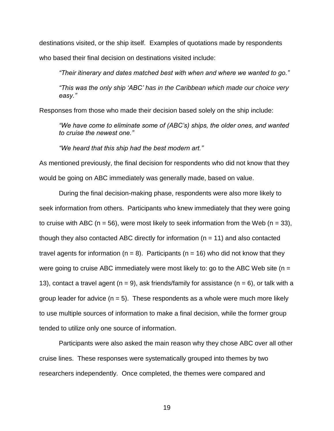destinations visited, or the ship itself. Examples of quotations made by respondents who based their final decision on destinations visited include:

*"Their itinerary and dates matched best with when and where we wanted to go."*

*"This was the only ship "ABC" has in the Caribbean which made our choice very easy."*

Responses from those who made their decision based solely on the ship include:

*"We have come to eliminate some of (ABC"s) ships, the older ones, and wanted to cruise the newest one."*

*"We heard that this ship had the best modern art."*

As mentioned previously, the final decision for respondents who did not know that they would be going on ABC immediately was generally made, based on value.

During the final decision-making phase, respondents were also more likely to seek information from others. Participants who knew immediately that they were going to cruise with ABC ( $n = 56$ ), were most likely to seek information from the Web ( $n = 33$ ), though they also contacted ABC directly for information ( $n = 11$ ) and also contacted travel agents for information ( $n = 8$ ). Participants ( $n = 16$ ) who did not know that they were going to cruise ABC immediately were most likely to: go to the ABC Web site ( $n =$ 13), contact a travel agent ( $n = 9$ ), ask friends/family for assistance ( $n = 6$ ), or talk with a group leader for advice  $(n = 5)$ . These respondents as a whole were much more likely to use multiple sources of information to make a final decision, while the former group tended to utilize only one source of information.

Participants were also asked the main reason why they chose ABC over all other cruise lines. These responses were systematically grouped into themes by two researchers independently. Once completed, the themes were compared and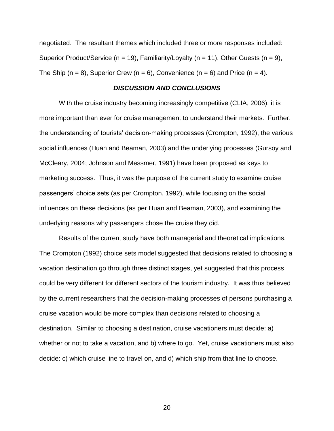negotiated. The resultant themes which included three or more responses included: Superior Product/Service ( $n = 19$ ), Familiarity/Loyalty ( $n = 11$ ), Other Guests ( $n = 9$ ), The Ship (n = 8), Superior Crew (n = 6), Convenience (n = 6) and Price (n = 4).

# *DISCUSSION AND CONCLUSIONS*

With the cruise industry becoming increasingly competitive (CLIA, 2006), it is more important than ever for cruise management to understand their markets. Further, the understanding of tourists' decision-making processes (Crompton, 1992), the various social influences (Huan and Beaman, 2003) and the underlying processes (Gursoy and McCleary, 2004; Johnson and Messmer, 1991) have been proposed as keys to marketing success. Thus, it was the purpose of the current study to examine cruise passengers' choice sets (as per Crompton, 1992), while focusing on the social influences on these decisions (as per Huan and Beaman, 2003), and examining the underlying reasons why passengers chose the cruise they did.

Results of the current study have both managerial and theoretical implications. The Crompton (1992) choice sets model suggested that decisions related to choosing a vacation destination go through three distinct stages, yet suggested that this process could be very different for different sectors of the tourism industry. It was thus believed by the current researchers that the decision-making processes of persons purchasing a cruise vacation would be more complex than decisions related to choosing a destination. Similar to choosing a destination, cruise vacationers must decide: a) whether or not to take a vacation, and b) where to go. Yet, cruise vacationers must also decide: c) which cruise line to travel on, and d) which ship from that line to choose.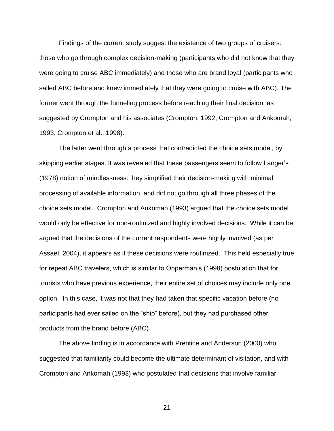Findings of the current study suggest the existence of two groups of cruisers: those who go through complex decision-making (participants who did not know that they were going to cruise ABC immediately) and those who are brand loyal (participants who sailed ABC before and knew immediately that they were going to cruise with ABC). The former went through the funneling process before reaching their final decision, as suggested by Crompton and his associates (Crompton, 1992; Crompton and Ankomah, 1993; Crompton et al., 1998).

The latter went through a process that contradicted the choice sets model, by skipping earlier stages. It was revealed that these passengers seem to follow Langer's (1978) notion of mindlessness: they simplified their decision-making with minimal processing of available information, and did not go through all three phases of the choice sets model. Crompton and Ankomah (1993) argued that the choice sets model would only be effective for non-routinized and highly involved decisions. While it can be argued that the decisions of the current respondents were highly involved (as per Assael, 2004), it appears as if these decisions were routinized. This held especially true for repeat ABC travelers, which is similar to Opperman's (1998) postulation that for tourists who have previous experience, their entire set of choices may include only one option. In this case, it was not that they had taken that specific vacation before (no participants had ever sailed on the "ship" before), but they had purchased other products from the brand before (ABC).

The above finding is in accordance with Prentice and Anderson (2000) who suggested that familiarity could become the ultimate determinant of visitation, and with Crompton and Ankomah (1993) who postulated that decisions that involve familiar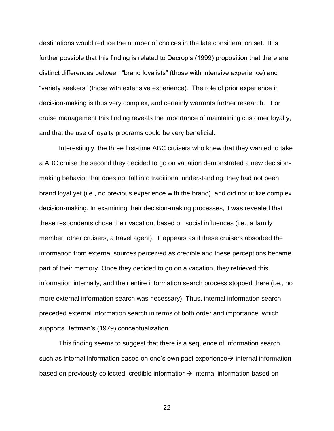destinations would reduce the number of choices in the late consideration set. It is further possible that this finding is related to Decrop's (1999) proposition that there are distinct differences between "brand loyalists" (those with intensive experience) and "variety seekers" (those with extensive experience). The role of prior experience in decision-making is thus very complex, and certainly warrants further research. For cruise management this finding reveals the importance of maintaining customer loyalty, and that the use of loyalty programs could be very beneficial.

Interestingly, the three first-time ABC cruisers who knew that they wanted to take a ABC cruise the second they decided to go on vacation demonstrated a new decisionmaking behavior that does not fall into traditional understanding: they had not been brand loyal yet (i.e., no previous experience with the brand), and did not utilize complex decision-making. In examining their decision-making processes, it was revealed that these respondents chose their vacation, based on social influences (i.e., a family member, other cruisers, a travel agent). It appears as if these cruisers absorbed the information from external sources perceived as credible and these perceptions became part of their memory. Once they decided to go on a vacation, they retrieved this information internally, and their entire information search process stopped there (i.e., no more external information search was necessary). Thus, internal information search preceded external information search in terms of both order and importance, which supports Bettman's (1979) conceptualization.

This finding seems to suggest that there is a sequence of information search, such as internal information based on one's own past experience  $\rightarrow$  internal information based on previously collected, credible information  $\rightarrow$  internal information based on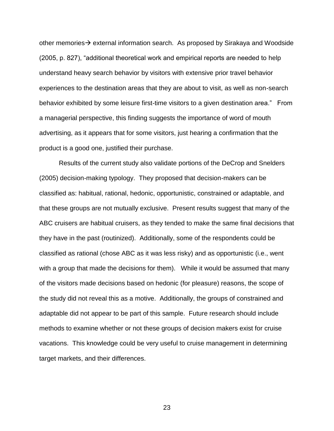other memories  $\rightarrow$  external information search. As proposed by Sirakaya and Woodside (2005, p. 827), "additional theoretical work and empirical reports are needed to help understand heavy search behavior by visitors with extensive prior travel behavior experiences to the destination areas that they are about to visit, as well as non-search behavior exhibited by some leisure first-time visitors to a given destination area." From a managerial perspective, this finding suggests the importance of word of mouth advertising, as it appears that for some visitors, just hearing a confirmation that the product is a good one, justified their purchase.

Results of the current study also validate portions of the DeCrop and Snelders (2005) decision-making typology. They proposed that decision-makers can be classified as: habitual, rational, hedonic, opportunistic, constrained or adaptable, and that these groups are not mutually exclusive. Present results suggest that many of the ABC cruisers are habitual cruisers, as they tended to make the same final decisions that they have in the past (routinized). Additionally, some of the respondents could be classified as rational (chose ABC as it was less risky) and as opportunistic (i.e., went with a group that made the decisions for them). While it would be assumed that many of the visitors made decisions based on hedonic (for pleasure) reasons, the scope of the study did not reveal this as a motive. Additionally, the groups of constrained and adaptable did not appear to be part of this sample. Future research should include methods to examine whether or not these groups of decision makers exist for cruise vacations. This knowledge could be very useful to cruise management in determining target markets, and their differences.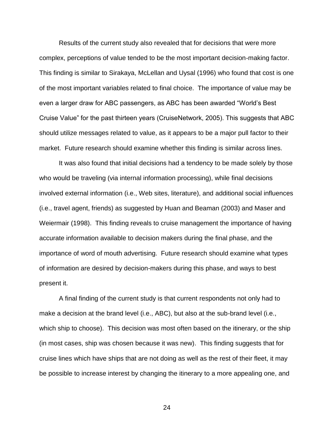Results of the current study also revealed that for decisions that were more complex, perceptions of value tended to be the most important decision-making factor. This finding is similar to Sirakaya, McLellan and Uysal (1996) who found that cost is one of the most important variables related to final choice. The importance of value may be even a larger draw for ABC passengers, as ABC has been awarded "World's Best Cruise Value" for the past thirteen years (CruiseNetwork, 2005). This suggests that ABC should utilize messages related to value, as it appears to be a major pull factor to their market. Future research should examine whether this finding is similar across lines.

It was also found that initial decisions had a tendency to be made solely by those who would be traveling (via internal information processing), while final decisions involved external information (i.e., Web sites, literature), and additional social influences (i.e., travel agent, friends) as suggested by Huan and Beaman (2003) and Maser and Weiermair (1998). This finding reveals to cruise management the importance of having accurate information available to decision makers during the final phase, and the importance of word of mouth advertising. Future research should examine what types of information are desired by decision-makers during this phase, and ways to best present it.

A final finding of the current study is that current respondents not only had to make a decision at the brand level (i.e., ABC), but also at the sub-brand level (i.e., which ship to choose). This decision was most often based on the itinerary, or the ship (in most cases, ship was chosen because it was new). This finding suggests that for cruise lines which have ships that are not doing as well as the rest of their fleet, it may be possible to increase interest by changing the itinerary to a more appealing one, and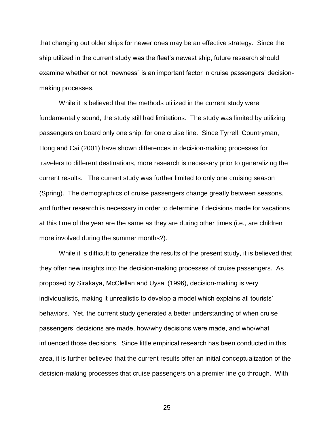that changing out older ships for newer ones may be an effective strategy. Since the ship utilized in the current study was the fleet's newest ship, future research should examine whether or not "newness" is an important factor in cruise passengers' decisionmaking processes.

While it is believed that the methods utilized in the current study were fundamentally sound, the study still had limitations. The study was limited by utilizing passengers on board only one ship, for one cruise line. Since Tyrrell, Countryman, Hong and Cai (2001) have shown differences in decision-making processes for travelers to different destinations, more research is necessary prior to generalizing the current results. The current study was further limited to only one cruising season (Spring). The demographics of cruise passengers change greatly between seasons, and further research is necessary in order to determine if decisions made for vacations at this time of the year are the same as they are during other times (i.e., are children more involved during the summer months?).

While it is difficult to generalize the results of the present study, it is believed that they offer new insights into the decision-making processes of cruise passengers. As proposed by Sirakaya, McClellan and Uysal (1996), decision-making is very individualistic, making it unrealistic to develop a model which explains all tourists' behaviors. Yet, the current study generated a better understanding of when cruise passengers' decisions are made, how/why decisions were made, and who/what influenced those decisions. Since little empirical research has been conducted in this area, it is further believed that the current results offer an initial conceptualization of the decision-making processes that cruise passengers on a premier line go through. With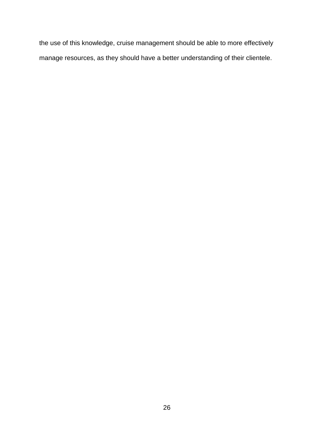the use of this knowledge, cruise management should be able to more effectively manage resources, as they should have a better understanding of their clientele.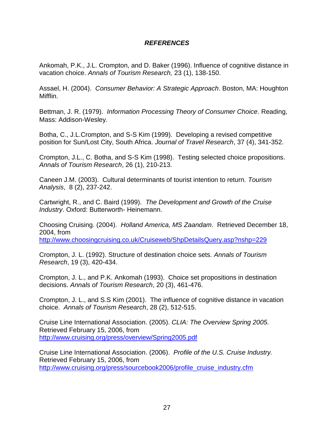# *REFERENCES*

Ankomah, P.K., J.L. Crompton, and D. Baker (1996). Influence of cognitive distance in vacation choice. *Annals of Tourism Research,* 23 (1), 138-150.

Assael, H. (2004). *Consumer Behavior: A Strategic Approach*. Boston, MA: Houghton Mifflin.

Bettman, J. R. (1979). *Information Processing Theory of Consumer Choice*. Reading, Mass: Addison-Wesley.

Botha, C., J.L.Crompton, and S-S Kim (1999). Developing a revised competitive position for Sun/Lost City, South Africa. *Journal of Travel Research*, 37 (4), 341-352.

Crompton, J.L., C. Botha, and S-S Kim (1998). Testing selected choice propositions. *Annals of Tourism Research*, 26 (1), 210-213.

Caneen J.M. (2003). Cultural determinants of tourist intention to return. *Tourism Analysis*, 8 (2), 237-242.

Cartwright, R., and C. Baird (1999). *The Development and Growth of the Cruise Industry*. Oxford: Butterworth- Heinemann.

Choosing Cruising. (2004). *Holland America, MS Zaandam*. Retrieved December 18, 2004, from <http://www.choosingcruising.co.uk/Cruiseweb/ShpDetailsQuery.asp?nshp=229>

Crompton, J. L. (1992). Structure of destination choice sets. *Annals of Tourism Research*, 19 (3), 420-434.

Crompton, J. L., and P.K. Ankomah (1993). Choice set propositions in destination decisions. *Annals of Tourism Research*, 20 (3), 461-476.

Crompton, J. L., and S.S Kim (2001). The influence of cognitive distance in vacation choice. *Annals of Tourism Research*, 28 (2), 512-515.

Cruise Line International Association. (2005). *CLIA: The Overview Spring 2005.*  Retrieved February 15, 2006, from <http://www.cruising.org/press/overview/Spring2005.pdf>

Cruise Line International Association. (2006). *Profile of the U.S. Cruise Industry.* Retrieved February 15, 2006, from [http://www.cruising.org/press/sourcebook2006/profile\\_cruise\\_industry.cfm](http://www.cruising.org/press/sourcebook2006/profile_cruise_industry.cfm)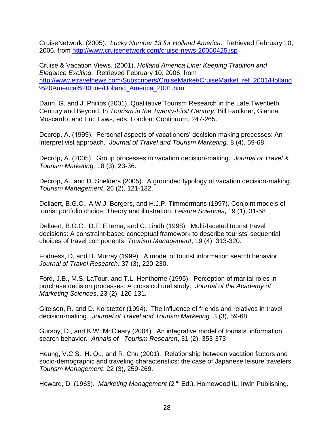CruiseNetwork. (2005). *Lucky Number 13 for Holland America*. Retrieved February 10, 2006, from<http://www.cruisenetwork.com/cruise-news-20050425.jsp>

Cruise & Vacation Views. (2001). *Holland America Line: Keeping Tradition and Elegance Exciting.* Retrieved February 10, 2006, from [http://www.etravelnews.com/Subscribers/CruiseMarket/CruiseMarket\\_ref\\_2001/Holland](http://www.etravelnews.com/Subscribers/CruiseMarket/CruiseMarket_ref_2001/Holland%20America%20Line/Holland_America_2001.htm) %20America%20Line/Holland America 2001.htm

Dann, G. and J. Philips (2001). Qualitative Tourism Research in the Late Twentieth Century and Beyond. In *Tourism in the Twenty-First Century*, Bill Faulkner, Gianna Moscardo, and Eric Laws, eds. London: Continuum, 247-265.

Decrop, A. (1999). Personal aspects of vacationers' decision making processes: An interpretivist approach. *Journal of Travel and Tourism Marketing,* 8 (4), 59-68.

Decrop, A. (2005). Group processes in vacation decision-making. *Journal of Travel & Tourism Marketing,* 18 (3), 23-36.

Decrop, A., and D. Snelders (2005). A grounded typology of vacation decision-making. *Tourism Management*, 26 (2), 121-132.

Dellaert, B.G.C., A.W.J. Borgers, and H.J.P. Timmermans (1997). Conjoint models of tourist portfolio choice: Theory and illustration. *Leisure Sciences*, 19 (1), 31-58

Dellaert, B.G.C., D.F. Ettema, and C. Lindh (1998). Multi-faceted tourist travel decisions: A constraint-based conceptual framework to describe tourists' sequential choices of travel components. *Tourism Management*, 19 (4), 313-320.

Fodness, D, and B. Murray (1999). A model of tourist information search behavior. *Journal of Travel Research,* 37 (3), 220-230.

Ford, J.B., M.S. LaTour, and T.L. Henthorne (1995). Perception of marital roles in purchase decision processes: A cross cultural study. *Journal of the Academy of Marketing Sciences*, 23 (2), 120-131.

Gitelson, R. and D. Kerstetter (1994). The influence of friends and relatives in travel decision-making. *Journal of Travel and Tourism Marketing,* 3 (3), 59-68.

Gursoy, D., and K.W. McCleary (2004). An integrative model of tourists' information search behavior. *Annals of Tourism Research*, 31 (2), 353-373

Heung, V.C.S., H. Qu, and R. Chu (2001). Relationship between vacation factors and socio-demographic and traveling characteristics: the case of Japanese leisure travelers. *Tourism Management*, 22 (3), 259-269.

Howard, D. (1963). *Marketing Management* (2<sup>nd</sup> Ed.). Homewood IL: Irwin Publishing.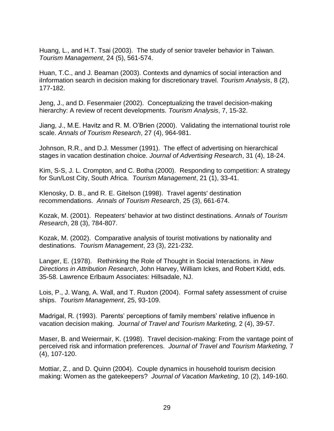Huang, L., and H.T. Tsai (2003). The study of senior traveler behavior in Taiwan. *Tourism Management*, 24 (5), 561-574.

Huan, T.C., and J. Beaman (2003). Contexts and dynamics of social interaction and iInformation search in decision making for discretionary travel. *Tourism Analysis*, 8 (2), 177-182.

Jeng, J., and D. Fesenmaier (2002). Conceptualizing the travel decision-making hierarchy: A review of recent developments. *Tourism Analysis*, 7, 15-32.

Jiang, J., M.E. Havitz and R. M. O'Brien (2000). Validating the international tourist role scale. *Annals of Tourism Research*, 27 (4), 964-981.

Johnson, R.R., and D.J. Messmer (1991). The effect of advertising on hierarchical stages in vacation destination choice. *Journal of Advertising Research*, 31 (4), 18-24.

Kim, S-S, J. L. Crompton, and C. Botha (2000). Responding to competition: A strategy for Sun/Lost City, South Africa. *Tourism Management*, 21 (1), 33-41.

Klenosky, D. B., and R. E. Gitelson (1998). Travel agents' destination recommendations. *Annals of Tourism Research*, 25 (3), 661-674.

Kozak, M. (2001). Repeaters' behavior at two distinct destinations. *Annals of Tourism Research*, 28 (3), 784-807.

Kozak, M. (2002). Comparative analysis of tourist motivations by nationality and destinations. *Tourism Management*, 23 (3), 221-232.

Langer, E. (1978). Rethinking the Role of Thought in Social Interactions. in *New Directions in Attribution Research*, John Harvey, William Ickes, and Robert Kidd, eds. 35-58. Lawrence Erlbaum Associates: Hillsadale, NJ.

Lois, P., J. Wang, A. Wall, and T. Ruxton (2004). Formal safety assessment of cruise ships. *Tourism Management*, 25, 93-109.

Madrigal, R. (1993). Parents' perceptions of family members' relative influence in vacation decision making. *Journal of Travel and Tourism Marketing,* 2 (4), 39-57.

Maser, B. and Weiermair, K. (1998). Travel decision-making: From the vantage point of perceived risk and information preferences. *Journal of Travel and Tourism Marketing,* 7 (4), 107-120.

Mottiar, Z., and D. Quinn (2004). Couple dynamics in household tourism decision making: Women as the gatekeepers? *Journal of Vacation Marketing*, 10 (2), 149-160.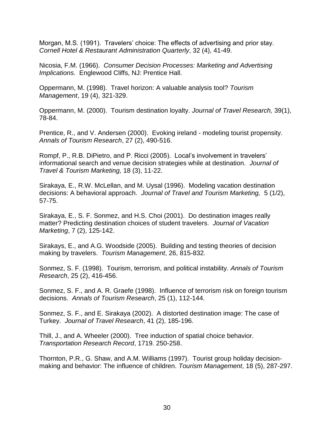Morgan, M.S. (1991). Travelers' choice: The effects of advertising and prior stay. *Cornell Hotel & Restaurant Administration Quarterly*, 32 (4), 41-49.

Nicosia, F.M. (1966). *Consumer Decision Processes: Marketing and Advertising Implications.* Englewood Cliffs, NJ: Prentice Hall.

Oppermann, M. (1998). Travel horizon: A valuable analysis tool? *Tourism Management*, 19 (4), 321-329.

Oppermann, M. (2000). Tourism destination loyalty. *Journal of Travel Research,* 39(1), 78-84.

Prentice, R., and V. Andersen (2000). Evoking ireland - modeling tourist propensity. *Annals of Tourism Research*, 27 (2), 490-516.

Rompf, P., R.B. DiPietro, and P. Ricci (2005). Local's involvement in travelers' informational search and venue decision strategies while at destination. *Journal of Travel & Tourism Marketing,* 18 (3), 11-22.

Sirakaya, E., R.W. McLellan, and M. Uysal (1996). Modeling vacation destination decisions: A behavioral approach. *Journal of Travel and Tourism Marketing,* 5 (1/2), 57-75.

Sirakaya, E., S. F. Sonmez, and H.S. Choi (2001). Do destination images really matter? Predicting destination choices of student travelers. *Journal of Vacation Marketing*, 7 (2), 125-142.

Sirakays, E., and A.G. Woodside (2005). Building and testing theories of decision making by travelers. *Tourism Management*, 26, 815-832.

Sonmez, S. F. (1998). Tourism, terrorism, and political instability. *Annals of Tourism Research*, 25 (2), 416-456.

Sonmez, S. F., and A. R. Graefe (1998). Influence of terrorism risk on foreign tourism decisions. *Annals of Tourism Research*, 25 (1), 112-144.

Sonmez, S. F., and E. Sirakaya (2002). A distorted destination image: The case of Turkey. *Journal of Travel Research*, 41 (2), 185-196.

Thill, J., and A. Wheeler (2000). Tree induction of spatial choice behavior. *Transportation Research Record*, 1719. 250-258.

Thornton, P.R., G. Shaw, and A.M. Williams (1997). Tourist group holiday decisionmaking and behavior: The influence of children. *Tourism Management*, 18 (5), 287-297.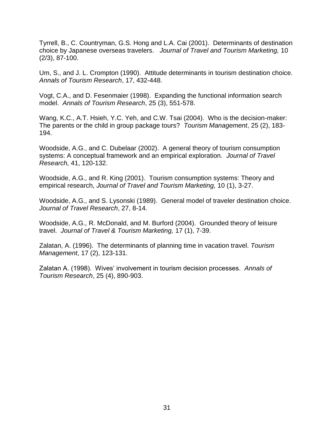Tyrrell, B., C. Countryman, G.S. Hong and L.A. Cai (2001). Determinants of destination choice by Japanese overseas travelers. *Journal of Travel and Tourism Marketing,* 10 (2/3), 87-100.

Um, S., and J. L. Crompton (1990). Attitude determinants in tourism destination choice. *Annals of Tourism Research*, 17, 432-448.

Vogt, C.A., and D. Fesenmaier (1998). Expanding the functional information search model. *Annals of Tourism Research*, 25 (3), 551-578.

Wang, K.C., A.T. Hsieh, Y.C. Yeh, and C.W. Tsai (2004). Who is the decision-maker: The parents or the child in group package tours? *Tourism Management*, 25 (2), 183- 194.

Woodside, A.G., and C. Dubelaar (2002). A general theory of tourism consumption systems: A conceptual framework and an empirical exploration. *Journal of Travel Research,* 41, 120-132.

Woodside, A.G., and R. King (2001). Tourism consumption systems: Theory and empirical research, *Journal of Travel and Tourism Marketing,* 10 (1), 3-27.

Woodside, A.G., and S. Lysonski (1989). General model of traveler destination choice. *Journal of Travel Research*, 27, 8-14.

Woodside, A.G., R. McDonald, and M. Burford (2004). Grounded theory of leisure travel. *Journal of Travel & Tourism Marketing,* 17 (1), 7-39.

Zalatan, A. (1996). The determinants of planning time in vacation travel. *Tourism Management*, 17 (2), 123-131.

Zalatan A. (1998). Wives' involvement in tourism decision processes. *Annals of Tourism Research*, 25 (4), 890-903.